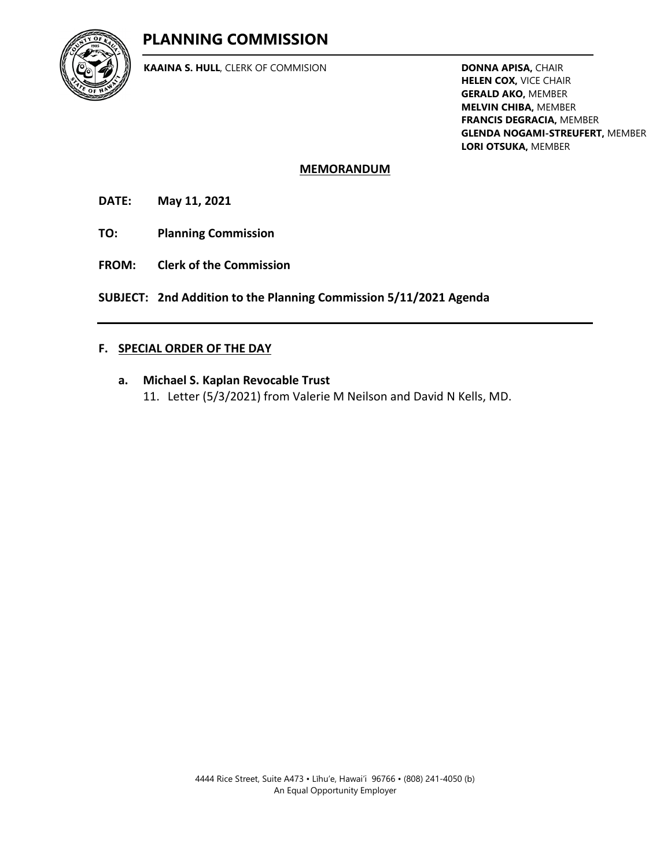## **PLANNING COMMISSION**



**KAAINA S. HULL**, CLERK OF COMMISION

**DONNA APISA,** CHAIR **HELEN COX,** VICE CHAIR **GERALD AKO,** MEMBER **MELVIN CHIBA,** MEMBER **FRANCIS DEGRACIA,** MEMBER **GLENDA NOGAMI-STREUFERT,** MEMBER **LORI OTSUKA,** MEMBER

## **MEMORANDUM**

**DATE: May 11, 2021**

- **TO: Planning Commission**
- **FROM: Clerk of the Commission**

**SUBJECT: 2nd Addition to the Planning Commission 5/11/2021 Agenda**

## **F. SPECIAL ORDER OF THE DAY**

- **a. Michael S. Kaplan Revocable Trust**
	- 11. Letter (5/3/2021) from Valerie M Neilson and David N Kells, MD.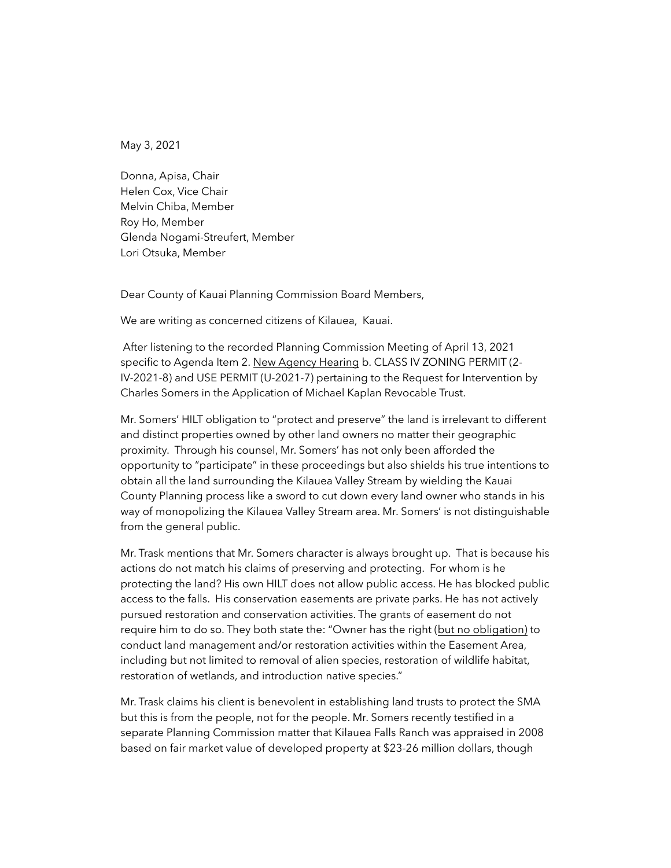May 3, 2021

Donna, Apisa, Chair Helen Cox, Vice Chair Melvin Chiba, Member Roy Ho, Member Glenda Nogami-Streufert, Member Lori Otsuka, Member

Dear County of Kauai Planning Commission Board Members,

We are writing as concerned citizens of Kilauea, Kauai.

 After listening to the recorded Planning Commission Meeting of April 13, 2021 specific to Agenda Item 2. New Agency Hearing b. CLASS IV ZONING PERMIT (2- IV-2021-8) and USE PERMIT (U-2021-7) pertaining to the Request for Intervention by Charles Somers in the Application of Michael Kaplan Revocable Trust.

Mr. Somers' HILT obligation to "protect and preserve" the land is irrelevant to different and distinct properties owned by other land owners no matter their geographic proximity. Through his counsel, Mr. Somers' has not only been afforded the opportunity to "participate" in these proceedings but also shields his true intentions to obtain all the land surrounding the Kilauea Valley Stream by wielding the Kauai County Planning process like a sword to cut down every land owner who stands in his way of monopolizing the Kilauea Valley Stream area. Mr. Somers' is not distinguishable from the general public.

Mr. Trask mentions that Mr. Somers character is always brought up. That is because his actions do not match his claims of preserving and protecting. For whom is he protecting the land? His own HILT does not allow public access. He has blocked public access to the falls. His conservation easements are private parks. He has not actively pursued restoration and conservation activities. The grants of easement do not require him to do so. They both state the: "Owner has the right (but no obligation) to conduct land management and/or restoration activities within the Easement Area, including but not limited to removal of alien species, restoration of wildlife habitat, restoration of wetlands, and introduction native species."

Mr. Trask claims his client is benevolent in establishing land trusts to protect the SMA but this is from the people, not for the people. Mr. Somers recently testified in a separate Planning Commission matter that Kilauea Falls Ranch was appraised in 2008 based on fair market value of developed property at \$23-26 million dollars, though